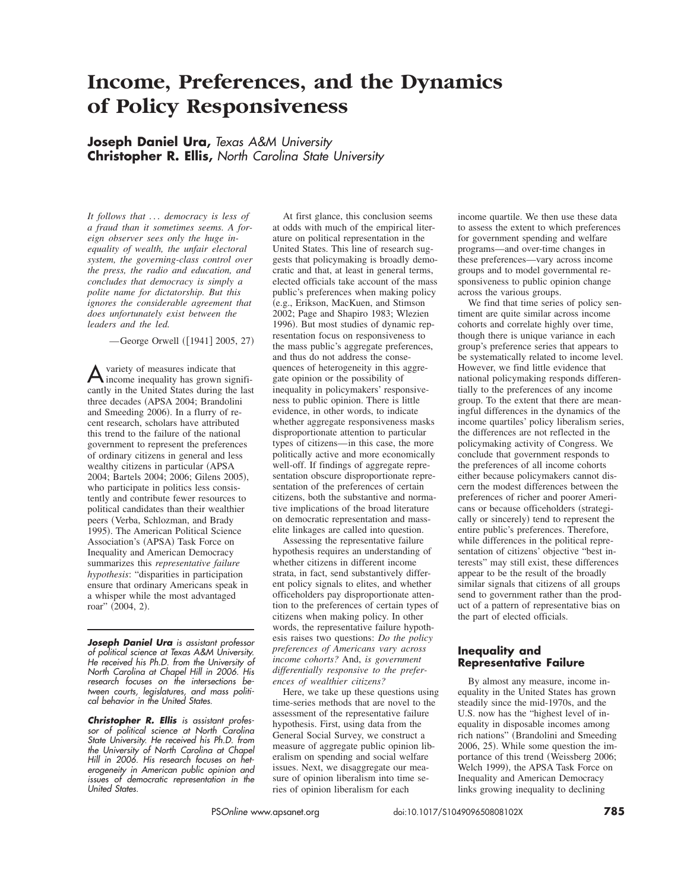# **Income, Preferences, and the Dynamics of Policy Responsiveness**

**Joseph Daniel Ura,** *Texas A&M University* **Christopher R. Ellis,** *North Carolina State University*

*It follows that . . . democracy is less of a fraud than it sometimes seems. A foreign observer sees only the huge inequality of wealth, the unfair electoral system, the governing-class control over the press, the radio and education, and concludes that democracy is simply a polite name for dictatorship. But this ignores the considerable agreement that does unfortunately exist between the leaders and the led.*

 $-$ George Orwell ([1941] 2005, 27)

Avariety of measures indicate that income inequality has grown significantly in the United States during the last three decades (APSA 2004; Brandolini and Smeeding 2006). In a flurry of recent research, scholars have attributed this trend to the failure of the national government to represent the preferences of ordinary citizens in general and less wealthy citizens in particular (APSA 2004; Bartels 2004; 2006; Gilens 2005), who participate in politics less consistently and contribute fewer resources to political candidates than their wealthier peers (Verba, Schlozman, and Brady 1995). The American Political Science Association's (APSA) Task Force on Inequality and American Democracy summarizes this *representative failure hypothesis*: "disparities in participation ensure that ordinary Americans speak in a whisper while the most advantaged roar" (2004, 2).

*Joseph Daniel Ura is assistant professor of political science at Texas A&M University. He received his Ph.D. from the University of North Carolina at Chapel Hill in 2006. His research focuses on the intersections between courts, legislatures, and mass political behavior in the United States.*

*Christopher R. Ellis is assistant professor of political science at North Carolina State University. He received his Ph.D. from the University of North Carolina at Chapel Hill in 2006. His research focuses on heterogeneity in American public opinion and issues of democratic representation in the United States.*

At first glance, this conclusion seems at odds with much of the empirical literature on political representation in the United States. This line of research suggests that policymaking is broadly democratic and that, at least in general terms, elected officials take account of the mass public's preferences when making policy (e.g., Erikson, MacKuen, and Stimson 2002; Page and Shapiro 1983; Wlezien 1996). But most studies of dynamic representation focus on responsiveness to the mass public's aggregate preferences, and thus do not address the consequences of heterogeneity in this aggregate opinion or the possibility of inequality in policymakers' responsiveness to public opinion. There is little evidence, in other words, to indicate whether aggregate responsiveness masks disproportionate attention to particular types of citizens—in this case, the more politically active and more economically well-off. If findings of aggregate representation obscure disproportionate representation of the preferences of certain citizens, both the substantive and normative implications of the broad literature on democratic representation and masselite linkages are called into question.

Assessing the representative failure hypothesis requires an understanding of whether citizens in different income strata, in fact, send substantively different policy signals to elites, and whether officeholders pay disproportionate attention to the preferences of certain types of citizens when making policy. In other words, the representative failure hypothesis raises two questions: *Do the policy preferences of Americans vary across income cohorts?* And, *is government differentially responsive to the preferences of wealthier citizens?*

Here, we take up these questions using time-series methods that are novel to the assessment of the representative failure hypothesis. First, using data from the General Social Survey, we construct a measure of aggregate public opinion liberalism on spending and social welfare issues. Next, we disaggregate our measure of opinion liberalism into time series of opinion liberalism for each

income quartile. We then use these data to assess the extent to which preferences for government spending and welfare programs—and over-time changes in these preferences—vary across income groups and to model governmental responsiveness to public opinion change across the various groups.

We find that time series of policy sentiment are quite similar across income cohorts and correlate highly over time, though there is unique variance in each group's preference series that appears to be systematically related to income level. However, we find little evidence that national policymaking responds differentially to the preferences of any income group. To the extent that there are meaningful differences in the dynamics of the income quartiles' policy liberalism series, the differences are not reflected in the policymaking activity of Congress. We conclude that government responds to the preferences of all income cohorts either because policymakers cannot discern the modest differences between the preferences of richer and poorer Americans or because officeholders (strategically or sincerely) tend to represent the entire public's preferences. Therefore, while differences in the political representation of citizens' objective "best interests" may still exist, these differences appear to be the result of the broadly similar signals that citizens of all groups send to government rather than the product of a pattern of representative bias on the part of elected officials.

#### **Inequality and Representative Failure**

By almost any measure, income inequality in the United States has grown steadily since the mid-1970s, and the U.S. now has the "highest level of inequality in disposable incomes among rich nations" (Brandolini and Smeeding 2006, 25). While some question the importance of this trend (Weissberg 2006; Welch 1999), the APSA Task Force on Inequality and American Democracy links growing inequality to declining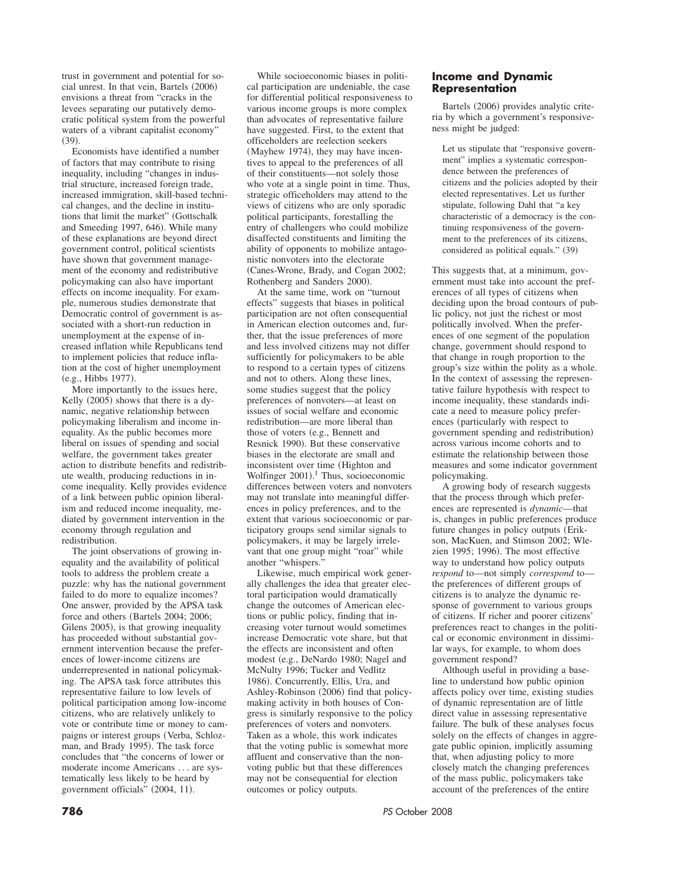trust in government and potential for social unrest. In that vein, Bartels (2006) envisions a threat from "cracks in the levees separating our putatively democratic political system from the powerful waters of a vibrant capitalist economy"  $(39).$ 

Economists have identified a number of factors that may contribute to rising inequality, including "changes in industrial structure, increased foreign trade, increased immigration, skill-based technical changes, and the decline in institutions that limit the market" (Gottschalk and Smeeding 1997, 646). While many of these explanations are beyond direct government control, political scientists have shown that government management of the economy and redistributive policymaking can also have important effects on income inequality. For example, numerous studies demonstrate that Democratic control of government is associated with a short-run reduction in unemployment at the expense of increased inflation while Republicans tend to implement policies that reduce inflation at the cost of higher unemployment  $(e.g., Hibbs 1977).$ 

More importantly to the issues here, Kelly  $(2005)$  shows that there is a dynamic, negative relationship between policymaking liberalism and income inequality. As the public becomes more liberal on issues of spending and social welfare, the government takes greater action to distribute benefits and redistribute wealth, producing reductions in income inequality. Kelly provides evidence of a link between public opinion liberalism and reduced income inequality, mediated by government intervention in the economy through regulation and redistribution.

The joint observations of growing inequality and the availability of political tools to address the problem create a puzzle: why has the national government failed to do more to equalize incomes? One answer, provided by the APSA task force and others (Bartels 2004; 2006; Gilens 2005), is that growing inequality has proceeded without substantial government intervention because the preferences of lower-income citizens are underrepresented in national policymaking. The APSA task force attributes this representative failure to low levels of political participation among low-income citizens, who are relatively unlikely to vote or contribute time or money to campaigns or interest groups (Verba, Schlozman, and Brady 1995). The task force concludes that "the concerns of lower or moderate income Americans . . . are systematically less likely to be heard by government officials" (2004, 11).

While socioeconomic biases in political participation are undeniable, the case for differential political responsiveness to various income groups is more complex than advocates of representative failure have suggested. First, to the extent that officeholders are reelection seekers  $(Mayhew 1974)$ , they may have incentives to appeal to the preferences of all of their constituents—not solely those who vote at a single point in time. Thus, strategic officeholders may attend to the views of citizens who are only sporadic political participants, forestalling the entry of challengers who could mobilize disaffected constituents and limiting the ability of opponents to mobilize antagonistic nonvoters into the electorate (Canes-Wrone, Brady, and Cogan 2002; Rothenberg and Sanders 2000).

At the same time, work on "turnout effects" suggests that biases in political participation are not often consequential in American election outcomes and, further, that the issue preferences of more and less involved citizens may not differ sufficiently for policymakers to be able to respond to a certain types of citizens and not to others. Along these lines, some studies suggest that the policy preferences of nonvoters—at least on issues of social welfare and economic redistribution—are more liberal than those of voters (e.g., Bennett and Resnick 1990). But these conservative biases in the electorate are small and inconsistent over time (Highton and Wolfinger 2001).<sup>1</sup> Thus, socioeconomic differences between voters and nonvoters may not translate into meaningful differences in policy preferences, and to the extent that various socioeconomic or participatory groups send similar signals to policymakers, it may be largely irrelevant that one group might "roar" while another "whispers."

Likewise, much empirical work generally challenges the idea that greater electoral participation would dramatically change the outcomes of American elections or public policy, finding that increasing voter turnout would sometimes increase Democratic vote share, but that the effects are inconsistent and often modest (e.g., DeNardo 1980; Nagel and McNulty 1996; Tucker and Vedlitz 1986). Concurrently, Ellis, Ura, and Ashley-Robinson  $(2006)$  find that policymaking activity in both houses of Congress is similarly responsive to the policy preferences of voters and nonvoters. Taken as a whole, this work indicates that the voting public is somewhat more affluent and conservative than the nonvoting public but that these differences may not be consequential for election outcomes or policy outputs.

#### **Income and Dynamic Representation**

Bartels (2006) provides analytic criteria by which a government's responsiveness might be judged:

Let us stipulate that "responsive government" implies a systematic correspondence between the preferences of citizens and the policies adopted by their elected representatives. Let us further stipulate, following Dahl that "a key characteristic of a democracy is the continuing responsiveness of the government to the preferences of its citizens, considered as political equals."  $(39)$ 

This suggests that, at a minimum, government must take into account the preferences of all types of citizens when deciding upon the broad contours of public policy, not just the richest or most politically involved. When the preferences of one segment of the population change, government should respond to that change in rough proportion to the group's size within the polity as a whole. In the context of assessing the representative failure hypothesis with respect to income inequality, these standards indicate a need to measure policy preferences (particularly with respect to government spending and redistribution) across various income cohorts and to estimate the relationship between those measures and some indicator government policymaking.

A growing body of research suggests that the process through which preferences are represented is *dynamic*—that is, changes in public preferences produce future changes in policy outputs  $(Erik$ son, MacKuen, and Stimson 2002; Wlezien 1995; 1996). The most effective way to understand how policy outputs *respond* to—not simply *correspond* to the preferences of different groups of citizens is to analyze the dynamic response of government to various groups of citizens. If richer and poorer citizens' preferences react to changes in the political or economic environment in dissimilar ways, for example, to whom does government respond?

Although useful in providing a baseline to understand how public opinion affects policy over time, existing studies of dynamic representation are of little direct value in assessing representative failure. The bulk of these analyses focus solely on the effects of changes in aggregate public opinion, implicitly assuming that, when adjusting policy to more closely match the changing preferences of the mass public, policymakers take account of the preferences of the entire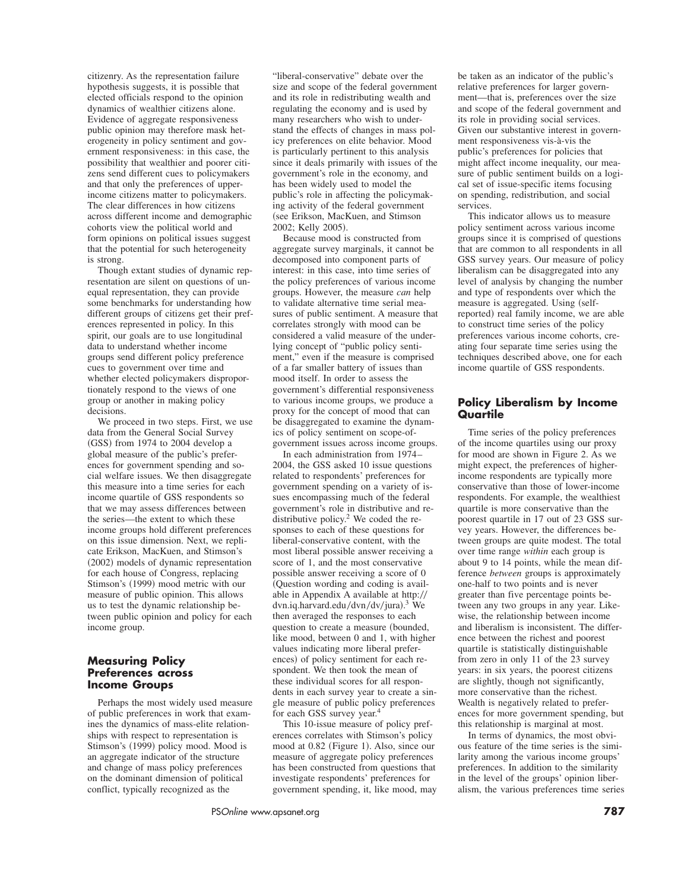citizenry. As the representation failure hypothesis suggests, it is possible that elected officials respond to the opinion dynamics of wealthier citizens alone. Evidence of aggregate responsiveness public opinion may therefore mask heterogeneity in policy sentiment and government responsiveness: in this case, the possibility that wealthier and poorer citizens send different cues to policymakers and that only the preferences of upperincome citizens matter to policymakers. The clear differences in how citizens across different income and demographic cohorts view the political world and form opinions on political issues suggest that the potential for such heterogeneity is strong.

Though extant studies of dynamic representation are silent on questions of unequal representation, they can provide some benchmarks for understanding how different groups of citizens get their preferences represented in policy. In this spirit, our goals are to use longitudinal data to understand whether income groups send different policy preference cues to government over time and whether elected policymakers disproportionately respond to the views of one group or another in making policy decisions.

We proceed in two steps. First, we use data from the General Social Survey (GSS) from 1974 to 2004 develop a global measure of the public's preferences for government spending and social welfare issues. We then disaggregate this measure into a time series for each income quartile of GSS respondents so that we may assess differences between the series—the extent to which these income groups hold different preferences on this issue dimension. Next, we replicate Erikson, MacKuen, and Stimson's ~2002! models of dynamic representation for each house of Congress, replacing Stimson's (1999) mood metric with our measure of public opinion. This allows us to test the dynamic relationship between public opinion and policy for each income group.

#### **Measuring Policy Preferences across Income Groups**

Perhaps the most widely used measure of public preferences in work that examines the dynamics of mass-elite relationships with respect to representation is Stimson's (1999) policy mood. Mood is an aggregate indicator of the structure and change of mass policy preferences on the dominant dimension of political conflict, typically recognized as the

"liberal-conservative" debate over the size and scope of the federal government and its role in redistributing wealth and regulating the economy and is used by many researchers who wish to understand the effects of changes in mass policy preferences on elite behavior. Mood is particularly pertinent to this analysis since it deals primarily with issues of the government's role in the economy, and has been widely used to model the public's role in affecting the policymaking activity of the federal government (see Erikson, MacKuen, and Stimson) 2002; Kelly 2005).

Because mood is constructed from aggregate survey marginals, it cannot be decomposed into component parts of interest: in this case, into time series of the policy preferences of various income groups. However, the measure *can* help to validate alternative time serial measures of public sentiment. A measure that correlates strongly with mood can be considered a valid measure of the underlying concept of "public policy sentiment," even if the measure is comprised of a far smaller battery of issues than mood itself. In order to assess the government's differential responsiveness to various income groups, we produce a proxy for the concept of mood that can be disaggregated to examine the dynamics of policy sentiment on scope-ofgovernment issues across income groups.

In each administration from 1974– 2004, the GSS asked 10 issue questions related to respondents' preferences for government spending on a variety of issues encompassing much of the federal government's role in distributive and redistributive policy.<sup>2</sup> We coded the responses to each of these questions for liberal-conservative content, with the most liberal possible answer receiving a score of 1, and the most conservative possible answer receiving a score of 0 ~Question wording and coding is available in Appendix A available at  $http://$ dvn.iq.harvard.edu/dvn/dv/jura).<sup>3</sup> We then averaged the responses to each question to create a measure (bounded, like mood, between 0 and 1, with higher values indicating more liberal preferences) of policy sentiment for each respondent. We then took the mean of these individual scores for all respondents in each survey year to create a single measure of public policy preferences for each GSS survey year.<sup>4</sup>

This 10-issue measure of policy preferences correlates with Stimson's policy mood at 0.82 (Figure 1). Also, since our measure of aggregate policy preferences has been constructed from questions that investigate respondents' preferences for government spending, it, like mood, may be taken as an indicator of the public's relative preferences for larger government—that is, preferences over the size and scope of the federal government and its role in providing social services. Given our substantive interest in government responsiveness vis-à-vis the public's preferences for policies that might affect income inequality, our measure of public sentiment builds on a logical set of issue-specific items focusing on spending, redistribution, and social services.

This indicator allows us to measure policy sentiment across various income groups since it is comprised of questions that are common to all respondents in all GSS survey years. Our measure of policy liberalism can be disaggregated into any level of analysis by changing the number and type of respondents over which the measure is aggregated. Using (selfreported) real family income, we are able to construct time series of the policy preferences various income cohorts, creating four separate time series using the techniques described above, one for each income quartile of GSS respondents.

## **Policy Liberalism by Income Quartile**

Time series of the policy preferences of the income quartiles using our proxy for mood are shown in Figure 2. As we might expect, the preferences of higherincome respondents are typically more conservative than those of lower-income respondents. For example, the wealthiest quartile is more conservative than the poorest quartile in 17 out of 23 GSS survey years. However, the differences between groups are quite modest. The total over time range *within* each group is about 9 to 14 points, while the mean difference *between* groups is approximately one-half to two points and is never greater than five percentage points between any two groups in any year. Likewise, the relationship between income and liberalism is inconsistent. The difference between the richest and poorest quartile is statistically distinguishable from zero in only 11 of the 23 survey years: in six years, the poorest citizens are slightly, though not significantly, more conservative than the richest. Wealth is negatively related to preferences for more government spending, but this relationship is marginal at most.

In terms of dynamics, the most obvious feature of the time series is the similarity among the various income groups' preferences. In addition to the similarity in the level of the groups' opinion liberalism, the various preferences time series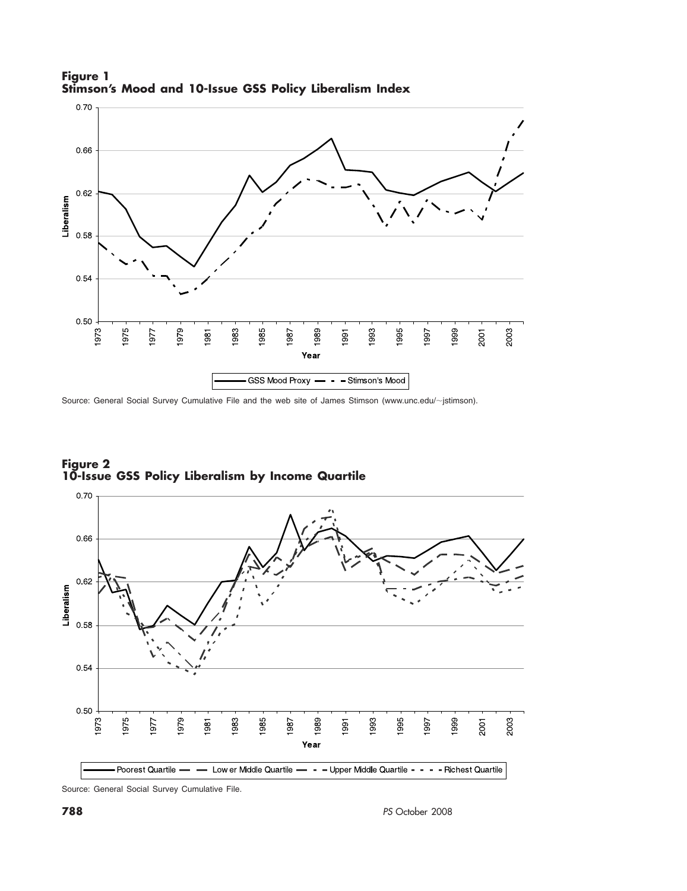

## **Figure 1 Stimson's Mood and 10-Issue GSS Policy Liberalism Index**

Source: General Social Survey Cumulative File and the web site of James Stimson (www.unc.edu/~jstimson).



**Figure 2 10-Issue GSS Policy Liberalism by Income Quartile**

Source: General Social Survey Cumulative File.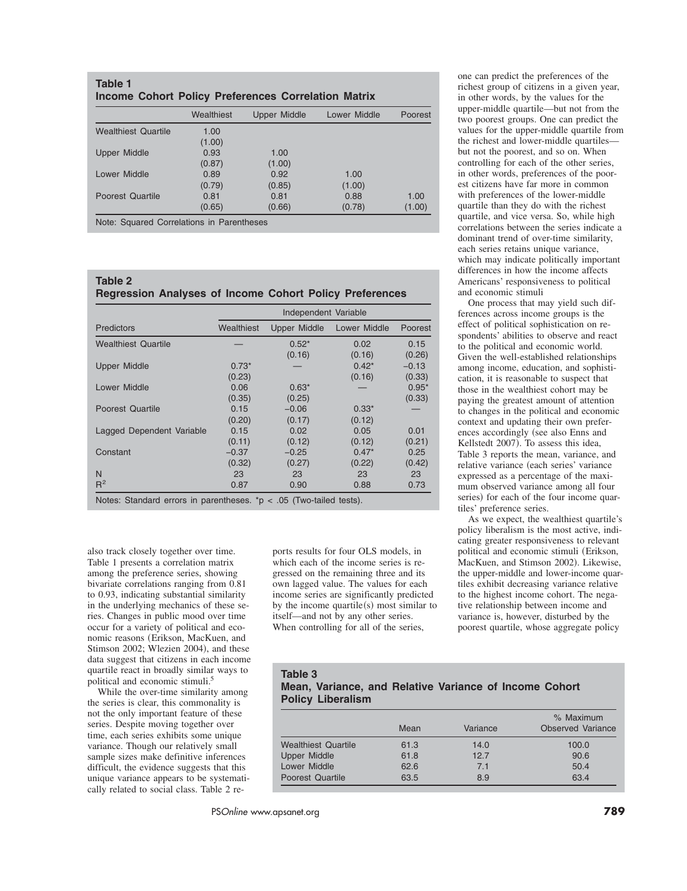## **Table 1 Income Cohort Policy Preferences Correlation Matrix**

|                            | Wealthiest | <b>Upper Middle</b> | Lower Middle | Poorest |
|----------------------------|------------|---------------------|--------------|---------|
| <b>Wealthiest Quartile</b> | 1.00       |                     |              |         |
|                            | (1.00)     |                     |              |         |
| <b>Upper Middle</b>        | 0.93       | 1.00                |              |         |
|                            | (0.87)     | (1.00)              |              |         |
| Lower Middle               | 0.89       | 0.92                | 1.00         |         |
|                            | (0.79)     | (0.85)              | (1.00)       |         |
| Poorest Quartile           | 0.81       | 0.81                | 0.88         | 1.00    |
|                            | (0.65)     | (0.66)              | (0.78)       | (1.00)  |

lote: Squared Correlations in Parentheses

#### **Table 2 Regression Analyses of Income Cohort Policy Preferences**

|                                                                       | Independent Variable |              |                     |         |  |  |
|-----------------------------------------------------------------------|----------------------|--------------|---------------------|---------|--|--|
| <b>Predictors</b>                                                     | Wealthiest           | Upper Middle | <b>Lower Middle</b> | Poorest |  |  |
| <b>Wealthiest Quartile</b>                                            |                      | $0.52*$      | 0.02                | 0.15    |  |  |
|                                                                       |                      | (0.16)       | (0.16)              | (0.26)  |  |  |
| <b>Upper Middle</b>                                                   | $0.73*$              |              | $0.42*$             | $-0.13$ |  |  |
|                                                                       | (0.23)               |              | (0.16)              | (0.33)  |  |  |
| Lower Middle                                                          | 0.06                 | $0.63*$      |                     | $0.95*$ |  |  |
|                                                                       | (0.35)               | (0.25)       |                     | (0.33)  |  |  |
| <b>Poorest Quartile</b>                                               | 0.15                 | $-0.06$      | $0.33*$             |         |  |  |
|                                                                       | (0.20)               | (0.17)       | (0.12)              |         |  |  |
| Lagged Dependent Variable                                             | 0.15                 | 0.02         | 0.05                | 0.01    |  |  |
|                                                                       | (0.11)               | (0.12)       | (0.12)              | (0.21)  |  |  |
| Constant                                                              | $-0.37$              | $-0.25$      | $0.47*$             | 0.25    |  |  |
|                                                                       | (0.32)               | (0.27)       | (0.22)              | (0.42)  |  |  |
| N                                                                     | 23                   | 23           | 23                  | 23      |  |  |
| $R^2$                                                                 | 0.87                 | 0.90         | 0.88                | 0.73    |  |  |
| Notes: Standard errors in parentheses. $p < 0.05$ (Two-tailed tests). |                      |              |                     |         |  |  |

also track closely together over time. Table 1 presents a correlation matrix among the preference series, showing bivariate correlations ranging from 0.81 to 0.93, indicating substantial similarity in the underlying mechanics of these series. Changes in public mood over time occur for a variety of political and economic reasons (Erikson, MacKuen, and Stimson 2002; Wlezien 2004), and these data suggest that citizens in each income quartile react in broadly similar ways to political and economic stimuli.<sup>5</sup>

While the over-time similarity among the series is clear, this commonality is not the only important feature of these series. Despite moving together over time, each series exhibits some unique variance. Though our relatively small sample sizes make definitive inferences difficult, the evidence suggests that this unique variance appears to be systematically related to social class. Table 2 reports results for four OLS models, in which each of the income series is regressed on the remaining three and its own lagged value. The values for each income series are significantly predicted by the income quartile $(s)$  most similar to itself—and not by any other series. When controlling for all of the series,

one can predict the preferences of the richest group of citizens in a given year, in other words, by the values for the upper-middle quartile—but not from the two poorest groups. One can predict the values for the upper-middle quartile from the richest and lower-middle quartiles but not the poorest, and so on. When controlling for each of the other series, in other words, preferences of the poorest citizens have far more in common with preferences of the lower-middle quartile than they do with the richest quartile, and vice versa. So, while high correlations between the series indicate a dominant trend of over-time similarity, each series retains unique variance, which may indicate politically important differences in how the income affects Americans' responsiveness to political and economic stimuli

One process that may yield such differences across income groups is the effect of political sophistication on respondents' abilities to observe and react to the political and economic world. Given the well-established relationships among income, education, and sophistication, it is reasonable to suspect that those in the wealthiest cohort may be paying the greatest amount of attention to changes in the political and economic context and updating their own preferences accordingly (see also Enns and Kellstedt 2007). To assess this idea, Table 3 reports the mean, variance, and relative variance (each series' variance expressed as a percentage of the maximum observed variance among all four series) for each of the four income quartiles' preference series.

As we expect, the wealthiest quartile's policy liberalism is the most active, indicating greater responsiveness to relevant political and economic stimuli (Erikson, MacKuen, and Stimson 2002). Likewise, the upper-middle and lower-income quartiles exhibit decreasing variance relative to the highest income cohort. The negative relationship between income and variance is, however, disturbed by the poorest quartile, whose aggregate policy

#### **Table 3 Mean, Variance, and Relative Variance of Income Cohort Policy Liberalism**

|                            | Mean | Variance | $%$ Maximum<br><b>Observed Variance</b> |
|----------------------------|------|----------|-----------------------------------------|
| <b>Wealthiest Quartile</b> | 61.3 | 14.0     | 100.0                                   |
| <b>Upper Middle</b>        | 61.8 | 12.7     | 90.6                                    |
| Lower Middle               | 62.6 | 7.1      | 50.4                                    |
| Poorest Quartile           | 63.5 | 8.9      | 63.4                                    |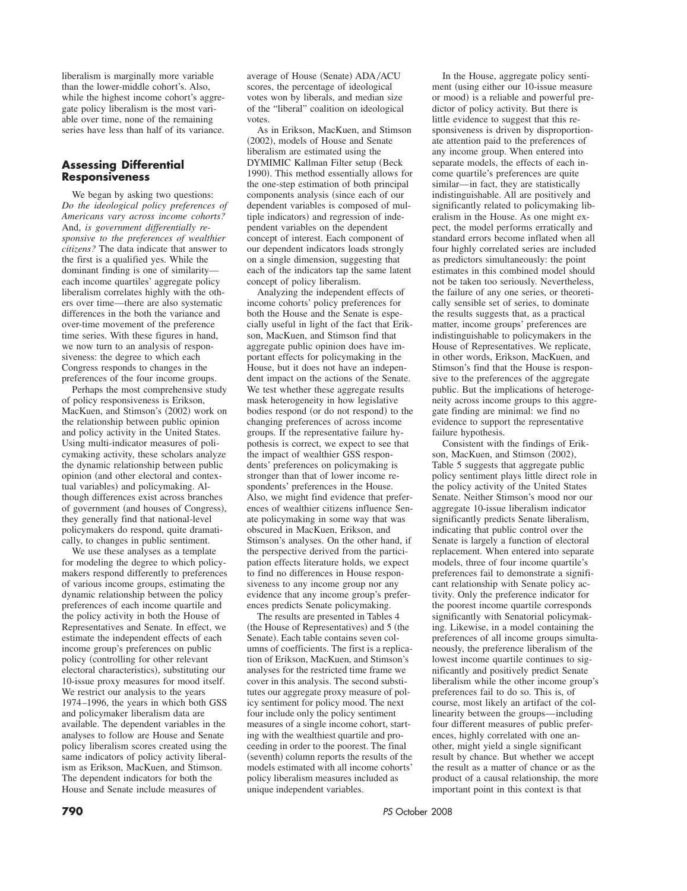liberalism is marginally more variable than the lower-middle cohort's. Also, while the highest income cohort's aggregate policy liberalism is the most variable over time, none of the remaining series have less than half of its variance.

## **Assessing Differential Responsiveness**

We began by asking two questions: *Do the ideological policy preferences of Americans vary across income cohorts?* And, *is government differentially responsive to the preferences of wealthier citizens?* The data indicate that answer to the first is a qualified yes. While the dominant finding is one of similarity each income quartiles' aggregate policy liberalism correlates highly with the others over time—there are also systematic differences in the both the variance and over-time movement of the preference time series. With these figures in hand, we now turn to an analysis of responsiveness: the degree to which each Congress responds to changes in the preferences of the four income groups.

Perhaps the most comprehensive study of policy responsiveness is Erikson, MacKuen, and Stimson's (2002) work on the relationship between public opinion and policy activity in the United States. Using multi-indicator measures of policymaking activity, these scholars analyze the dynamic relationship between public opinion (and other electoral and contextual variables) and policymaking. Although differences exist across branches of government (and houses of Congress), they generally find that national-level policymakers do respond, quite dramatically, to changes in public sentiment.

We use these analyses as a template for modeling the degree to which policymakers respond differently to preferences of various income groups, estimating the dynamic relationship between the policy preferences of each income quartile and the policy activity in both the House of Representatives and Senate. In effect, we estimate the independent effects of each income group's preferences on public policy (controlling for other relevant electoral characteristics), substituting our 10-issue proxy measures for mood itself. We restrict our analysis to the years 1974–1996, the years in which both GSS and policymaker liberalism data are available. The dependent variables in the analyses to follow are House and Senate policy liberalism scores created using the same indicators of policy activity liberalism as Erikson, MacKuen, and Stimson. The dependent indicators for both the House and Senate include measures of

average of House (Senate) ADA/ACU scores, the percentage of ideological votes won by liberals, and median size of the "liberal" coalition on ideological votes.

As in Erikson, MacKuen, and Stimson (2002), models of House and Senate liberalism are estimated using the DYMIMIC Kallman Filter setup (Beck 1990). This method essentially allows for the one-step estimation of both principal components analysis (since each of our dependent variables is composed of multiple indicators) and regression of independent variables on the dependent concept of interest. Each component of our dependent indicators loads strongly on a single dimension, suggesting that each of the indicators tap the same latent concept of policy liberalism.

Analyzing the independent effects of income cohorts' policy preferences for both the House and the Senate is especially useful in light of the fact that Erikson, MacKuen, and Stimson find that aggregate public opinion does have important effects for policymaking in the House, but it does not have an independent impact on the actions of the Senate. We test whether these aggregate results mask heterogeneity in how legislative bodies respond (or do not respond) to the changing preferences of across income groups. If the representative failure hypothesis is correct, we expect to see that the impact of wealthier GSS respondents' preferences on policymaking is stronger than that of lower income respondents' preferences in the House. Also, we might find evidence that preferences of wealthier citizens influence Senate policymaking in some way that was obscured in MacKuen, Erikson, and Stimson's analyses. On the other hand, if the perspective derived from the participation effects literature holds, we expect to find no differences in House responsiveness to any income group nor any evidence that any income group's preferences predicts Senate policymaking.

The results are presented in Tables 4  $($ the House of Representatives $)$  and  $5$   $($ the Senate). Each table contains seven columns of coefficients. The first is a replication of Erikson, MacKuen, and Stimson's analyses for the restricted time frame we cover in this analysis. The second substitutes our aggregate proxy measure of policy sentiment for policy mood. The next four include only the policy sentiment measures of a single income cohort, starting with the wealthiest quartile and proceeding in order to the poorest. The final (seventh) column reports the results of the models estimated with all income cohorts' policy liberalism measures included as unique independent variables.

In the House, aggregate policy sentiment (using either our 10-issue measure or mood) is a reliable and powerful predictor of policy activity. But there is little evidence to suggest that this responsiveness is driven by disproportionate attention paid to the preferences of any income group. When entered into separate models, the effects of each income quartile's preferences are quite similar—in fact, they are statistically indistinguishable. All are positively and significantly related to policymaking liberalism in the House. As one might expect, the model performs erratically and standard errors become inflated when all four highly correlated series are included as predictors simultaneously: the point estimates in this combined model should not be taken too seriously. Nevertheless, the failure of any one series, or theoretically sensible set of series, to dominate the results suggests that, as a practical matter, income groups' preferences are indistinguishable to policymakers in the House of Representatives. We replicate, in other words, Erikson, MacKuen, and Stimson's find that the House is responsive to the preferences of the aggregate public. But the implications of heterogeneity across income groups to this aggregate finding are minimal: we find no evidence to support the representative failure hypothesis.

Consistent with the findings of Erikson, MacKuen, and Stimson  $(2002)$ , Table 5 suggests that aggregate public policy sentiment plays little direct role in the policy activity of the United States Senate. Neither Stimson's mood nor our aggregate 10-issue liberalism indicator significantly predicts Senate liberalism, indicating that public control over the Senate is largely a function of electoral replacement. When entered into separate models, three of four income quartile's preferences fail to demonstrate a significant relationship with Senate policy activity. Only the preference indicator for the poorest income quartile corresponds significantly with Senatorial policymaking. Likewise, in a model containing the preferences of all income groups simultaneously, the preference liberalism of the lowest income quartile continues to significantly and positively predict Senate liberalism while the other income group's preferences fail to do so. This is, of course, most likely an artifact of the collinearity between the groups—including four different measures of public preferences, highly correlated with one another, might yield a single significant result by chance. But whether we accept the result as a matter of chance or as the product of a causal relationship, the more important point in this context is that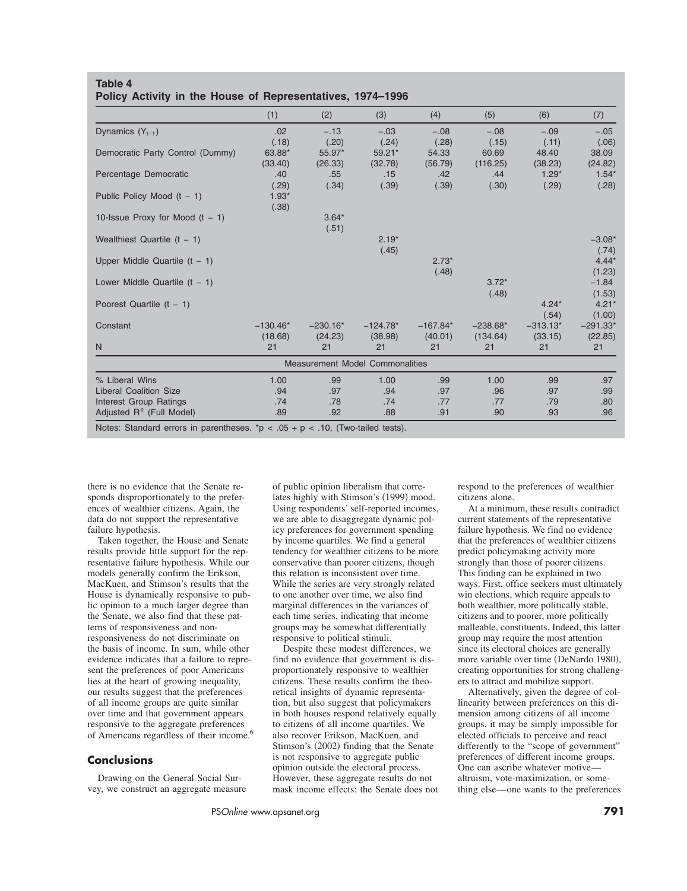## **Table 4 Policy Activity in the House of Representatives, 1974–1996**

|                                                                     | (1)                   | (2)                   | (3)                                    | (4)                   | (5)                    | (6)                   | (7)                   |
|---------------------------------------------------------------------|-----------------------|-----------------------|----------------------------------------|-----------------------|------------------------|-----------------------|-----------------------|
| Dynamics $(Y_{t-1})$                                                | .02<br>(.18)          | $-.13$<br>(.20)       | $-.03$<br>(.24)                        | $-.08$<br>(.28)       | $-.08$<br>(.15)        | $-.09$<br>(.11)       | $-.05$<br>(.06)       |
| Democratic Party Control (Dummy)                                    | 63.88*<br>(33.40)     | 55.97*<br>(26.33)     | 59.21*<br>(32.78)                      | 54.33<br>(56.79)      | 60.69<br>(116.25)      | 48.40<br>(38.23)      | 38.09<br>(24.82)      |
| Percentage Democratic                                               | .40<br>(.29)          | .55<br>(.34)          | .15<br>(.39)                           | .42<br>(.39)          | .44<br>(.30)           | $1.29*$<br>(.29)      | $1.54*$<br>(.28)      |
| Public Policy Mood $(t - 1)$                                        | $1.93*$<br>(.38)      |                       |                                        |                       |                        |                       |                       |
| 10-Issue Proxy for Mood $(t - 1)$                                   |                       | $3.64*$<br>(.51)      |                                        |                       |                        |                       |                       |
| Wealthiest Quartile $(t - 1)$                                       |                       |                       | $2.19*$<br>(.45)                       |                       |                        |                       | $-3.08*$<br>(.74)     |
| Upper Middle Quartile $(t - 1)$                                     |                       |                       |                                        | $2.73*$<br>(.48)      |                        |                       | $4.44*$<br>(1.23)     |
| Lower Middle Quartile $(t - 1)$                                     |                       |                       |                                        |                       | $3.72*$<br>(.48)       |                       | $-1.84$<br>(1.53)     |
| Poorest Quartile $(t - 1)$                                          |                       |                       |                                        |                       |                        | $4.24*$<br>(.54)      | $4.21*$<br>(1.00)     |
| Constant                                                            | $-130.46*$<br>(18.68) | $-230.16*$<br>(24.23) | $-124.78*$<br>(38.98)                  | $-167.84*$<br>(40.01) | $-238.68*$<br>(134.64) | $-313.13*$<br>(33.15) | $-291.33*$<br>(22.85) |
| <sup>N</sup>                                                        | 21                    | 21                    | 21                                     | 21                    | 21                     | 21                    | 21                    |
|                                                                     |                       |                       | <b>Measurement Model Commonalities</b> |                       |                        |                       |                       |
| % Liberal Wins                                                      | 1.00                  | .99                   | 1.00                                   | .99                   | 1.00                   | .99                   | .97                   |
| <b>Liberal Coalition Size</b>                                       | .94                   | .97                   | .94                                    | .97                   | .96                    | .97                   | .99                   |
| <b>Interest Group Ratings</b>                                       | .74                   | .78                   | .74                                    | .77                   | .77                    | .79                   | .80                   |
| Adjusted R <sup>2</sup> (Full Model)<br>Martin Charles and Contract | .89<br>$\sim$ $-$     | .92                   | .88<br>$40.77$ $(77.111)$              | .91                   | .90                    | .93                   | .96                   |

Notes: Standard errors in parentheses. \*p < .05 + p < .10, (Two-tailed tests).

there is no evidence that the Senate responds disproportionately to the preferences of wealthier citizens. Again, the data do not support the representative failure hypothesis.

Taken together, the House and Senate results provide little support for the representative failure hypothesis. While our models generally confirm the Erikson, MacKuen, and Stimson's results that the House is dynamically responsive to public opinion to a much larger degree than the Senate, we also find that these patterns of responsiveness and nonresponsiveness do not discriminate on the basis of income. In sum, while other evidence indicates that a failure to represent the preferences of poor Americans lies at the heart of growing inequality, our results suggest that the preferences of all income groups are quite similar over time and that government appears responsive to the aggregate preferences of Americans regardless of their income.<sup>6</sup>

## **Conclusions**

Drawing on the General Social Survey, we construct an aggregate measure of public opinion liberalism that correlates highly with Stimson's (1999) mood. Using respondents' self-reported incomes, we are able to disaggregate dynamic policy preferences for government spending by income quartiles. We find a general tendency for wealthier citizens to be more conservative than poorer citizens, though this relation is inconsistent over time. While the series are very strongly related to one another over time, we also find marginal differences in the variances of each time series, indicating that income groups may be somewhat differentially responsive to political stimuli.

Despite these modest differences, we find no evidence that government is disproportionately responsive to wealthier citizens. These results confirm the theoretical insights of dynamic representation, but also suggest that policymakers in both houses respond relatively equally to citizens of all income quartiles. We also recover Erikson, MacKuen, and Stimson's (2002) finding that the Senate is not responsive to aggregate public opinion outside the electoral process. However, these aggregate results do not mask income effects: the Senate does not respond to the preferences of wealthier citizens alone.

At a minimum, these results contradict current statements of the representative failure hypothesis. We find no evidence that the preferences of wealthier citizens predict policymaking activity more strongly than those of poorer citizens. This finding can be explained in two ways. First, office seekers must ultimately win elections, which require appeals to both wealthier, more politically stable, citizens and to poorer, more politically malleable, constituents. Indeed, this latter group may require the most attention since its electoral choices are generally more variable over time (DeNardo 1980), creating opportunities for strong challengers to attract and mobilize support.

Alternatively, given the degree of collinearity between preferences on this dimension among citizens of all income groups, it may be simply impossible for elected officials to perceive and react differently to the "scope of government" preferences of different income groups. One can ascribe whatever motive altruism, vote-maximization, or something else—one wants to the preferences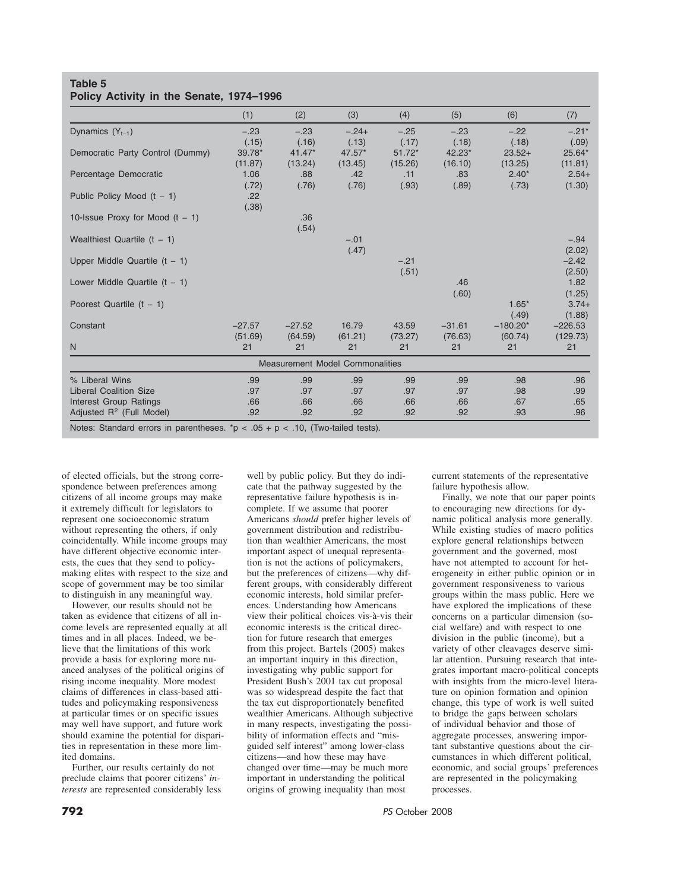### **Table 5 Policy Activity in the Senate, 1974–1996**

|                                                                                                                                                                                                                                       | (1)      | (2)                                    | (3)                       | (4)      | (5)      | (6)        | (7)       |
|---------------------------------------------------------------------------------------------------------------------------------------------------------------------------------------------------------------------------------------|----------|----------------------------------------|---------------------------|----------|----------|------------|-----------|
| Dynamics $(Y_{t-1})$                                                                                                                                                                                                                  | $-.23$   | $-.23$                                 | $-.24+$                   | $-.25$   | $-.23$   | $-.22$     | $-.21*$   |
|                                                                                                                                                                                                                                       | (.15)    | (.16)                                  | (.13)                     | (.17)    | (.18)    | (.18)      | (.09)     |
| Democratic Party Control (Dummy)                                                                                                                                                                                                      | 39.78*   | 41.47*                                 | 47.57*                    | $51.72*$ | 42.23*   | $23.52+$   | 25.64*    |
|                                                                                                                                                                                                                                       | (11.87)  | (13.24)                                | (13.45)                   | (15.26)  | (16.10)  | (13.25)    | (11.81)   |
| Percentage Democratic                                                                                                                                                                                                                 | 1.06     | .88                                    | .42                       | .11      | .83      | $2.40*$    | $2.54+$   |
|                                                                                                                                                                                                                                       | (.72)    | (.76)                                  | (.76)                     | (.93)    | (.89)    | (.73)      | (1.30)    |
| Public Policy Mood $(t - 1)$                                                                                                                                                                                                          | .22      |                                        |                           |          |          |            |           |
|                                                                                                                                                                                                                                       | (.38)    |                                        |                           |          |          |            |           |
| 10-Issue Proxy for Mood $(t - 1)$                                                                                                                                                                                                     |          | .36                                    |                           |          |          |            |           |
|                                                                                                                                                                                                                                       |          | (.54)                                  |                           |          |          |            |           |
| Wealthiest Quartile $(t - 1)$                                                                                                                                                                                                         |          |                                        | $-.01$                    |          |          |            | $-.94$    |
|                                                                                                                                                                                                                                       |          |                                        | (.47)                     |          |          |            | (2.02)    |
| Upper Middle Quartile $(t - 1)$                                                                                                                                                                                                       |          |                                        |                           | $-.21$   |          |            | $-2.42$   |
|                                                                                                                                                                                                                                       |          |                                        |                           | (.51)    |          |            | (2.50)    |
| Lower Middle Quartile $(t - 1)$                                                                                                                                                                                                       |          |                                        |                           |          | .46      |            | 1.82      |
|                                                                                                                                                                                                                                       |          |                                        |                           |          | (.60)    |            | (1.25)    |
| Poorest Quartile $(t - 1)$                                                                                                                                                                                                            |          |                                        |                           |          |          | $1.65*$    | $3.74+$   |
|                                                                                                                                                                                                                                       |          |                                        |                           |          |          | (.49)      | (1.88)    |
| Constant                                                                                                                                                                                                                              | $-27.57$ | $-27.52$                               | 16.79                     | 43.59    | $-31.61$ | $-180.20*$ | $-226.53$ |
|                                                                                                                                                                                                                                       | (51.69)  | (64.59)                                | (61.21)                   | (73.27)  | (76.63)  | (60.74)    | (129.73)  |
| N.                                                                                                                                                                                                                                    | 21       | 21                                     | 21                        | 21       | 21       | 21         | 21        |
|                                                                                                                                                                                                                                       |          | <b>Measurement Model Commonalities</b> |                           |          |          |            |           |
| % Liberal Wins                                                                                                                                                                                                                        | .99      | .99                                    | .99                       | .99      | .99      | .98        | .96       |
| <b>Liberal Coalition Size</b>                                                                                                                                                                                                         | .97      | .97                                    | .97                       | .97      | .97      | .98        | .99       |
| Interest Group Ratings                                                                                                                                                                                                                | .66      | .66                                    | .66                       | .66      | .66      | .67        | .65       |
| Adjusted $R^2$ (Full Model)                                                                                                                                                                                                           | .92      | .92                                    | .92                       | .92      | .92      | .93        | .96       |
| $\mathbf{M}$ and $\mathbf{M}$ are also as a set of the set of the set of the set of the set of the set of the set of the set of the set of the set of the set of the set of the set of the set of the set of the set of the set of th | $\sim$   | $\sqrt{2}$                             | and the collection of the |          |          |            |           |

Notes: Standard errors in parentheses. \*p < .05 + p < .10, (Two-tailed tests).

of elected officials, but the strong correspondence between preferences among citizens of all income groups may make it extremely difficult for legislators to represent one socioeconomic stratum without representing the others, if only coincidentally. While income groups may have different objective economic interests, the cues that they send to policymaking elites with respect to the size and scope of government may be too similar to distinguish in any meaningful way.

However, our results should not be taken as evidence that citizens of all income levels are represented equally at all times and in all places. Indeed, we believe that the limitations of this work provide a basis for exploring more nuanced analyses of the political origins of rising income inequality. More modest claims of differences in class-based attitudes and policymaking responsiveness at particular times or on specific issues may well have support, and future work should examine the potential for disparities in representation in these more limited domains.

Further, our results certainly do not preclude claims that poorer citizens' *interests* are represented considerably less well by public policy. But they do indicate that the pathway suggested by the representative failure hypothesis is incomplete. If we assume that poorer Americans *should* prefer higher levels of government distribution and redistribution than wealthier Americans, the most important aspect of unequal representation is not the actions of policymakers, but the preferences of citizens—why different groups, with considerably different economic interests, hold similar preferences. Understanding how Americans view their political choices vis-à-vis their economic interests is the critical direction for future research that emerges from this project. Bartels (2005) makes an important inquiry in this direction, investigating why public support for President Bush's 2001 tax cut proposal was so widespread despite the fact that the tax cut disproportionately benefited wealthier Americans. Although subjective in many respects, investigating the possibility of information effects and "misguided self interest" among lower-class citizens—and how these may have changed over time—may be much more important in understanding the political origins of growing inequality than most

current statements of the representative failure hypothesis allow.

Finally, we note that our paper points to encouraging new directions for dynamic political analysis more generally. While existing studies of macro politics explore general relationships between government and the governed, most have not attempted to account for heterogeneity in either public opinion or in government responsiveness to various groups within the mass public. Here we have explored the implications of these concerns on a particular dimension (social welfare) and with respect to one division in the public (income), but a variety of other cleavages deserve similar attention. Pursuing research that integrates important macro-political concepts with insights from the micro-level literature on opinion formation and opinion change, this type of work is well suited to bridge the gaps between scholars of individual behavior and those of aggregate processes, answering important substantive questions about the circumstances in which different political, economic, and social groups' preferences are represented in the policymaking processes.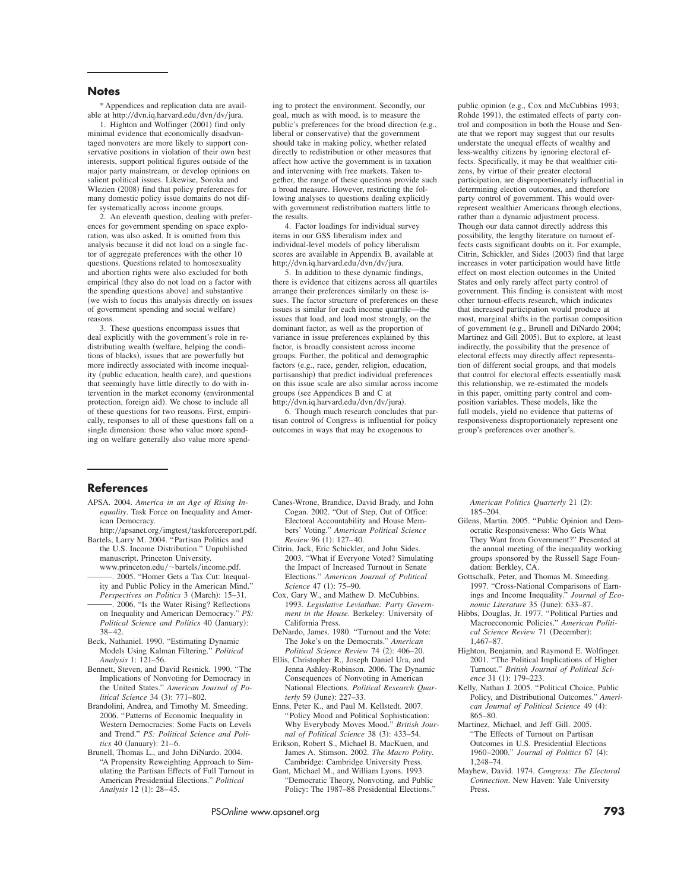#### **Notes**

\* Appendices and replication data are available at http://dvn.iq.harvard.edu/dvn/dv/jura.

1. Highton and Wolfinger  $(2001)$  find only minimal evidence that economically disadvantaged nonvoters are more likely to support conservative positions in violation of their own best interests, support political figures outside of the major party mainstream, or develop opinions on salient political issues. Likewise, Soroka and Wlezien (2008) find that policy preferences for many domestic policy issue domains do not differ systematically across income groups.

2. An eleventh question, dealing with preferences for government spending on space exploration, was also asked. It is omitted from this analysis because it did not load on a single factor of aggregate preferences with the other 10 questions. Questions related to homosexuality and abortion rights were also excluded for both empirical (they also do not load on a factor with the spending questions above) and substantive (we wish to focus this analysis directly on issues of government spending and social welfare) reasons.

3. These questions encompass issues that deal explicitly with the government's role in redistributing wealth (welfare, helping the conditions of blacks), issues that are powerfully but more indirectly associated with income inequality (public education, health care), and questions that seemingly have little directly to do with intervention in the market economy (environmental protection, foreign aid). We chose to include all of these questions for two reasons. First, empirically, responses to all of these questions fall on a single dimension: those who value more spending on welfare generally also value more spending to protect the environment. Secondly, our goal, much as with mood, is to measure the public's preferences for the broad direction  $(e.g.,)$ liberal or conservative) that the government should take in making policy, whether related directly to redistribution or other measures that affect how active the government is in taxation and intervening with free markets. Taken together, the range of these questions provide such a broad measure. However, restricting the following analyses to questions dealing explicitly with government redistribution matters little to the results.

4. Factor loadings for individual survey items in our GSS liberalism index and individual-level models of policy liberalism scores are available in Appendix B, available at http://dvn.iq.harvard.edu/dvn/dv/jura.

5. In addition to these dynamic findings, there is evidence that citizens across all quartiles arrange their preferences similarly on these issues. The factor structure of preferences on these issues is similar for each income quartile—the issues that load, and load most strongly, on the dominant factor, as well as the proportion of variance in issue preferences explained by this factor, is broadly consistent across income groups. Further, the political and demographic factors (e.g., race, gender, religion, education, partisanship) that predict individual preferences on this issue scale are also similar across income groups (see Appendices B and C at http://dvn.iq.harvard.edu/dvn/dv/jura).

6. Though much research concludes that partisan control of Congress is influential for policy outcomes in ways that may be exogenous to

public opinion (e.g., Cox and McCubbins 1993; Rohde 1991), the estimated effects of party control and composition in both the House and Senate that we report may suggest that our results understate the unequal effects of wealthy and less-wealthy citizens by ignoring electoral effects. Specifically, it may be that wealthier citizens, by virtue of their greater electoral participation, are disproportionately influential in determining election outcomes, and therefore party control of government. This would overrepresent wealthier Americans through elections, rather than a dynamic adjustment process. Though our data cannot directly address this possibility, the lengthy literature on turnout effects casts significant doubts on it. For example, Citrin, Schickler, and Sides (2003) find that large increases in voter participation would have little effect on most election outcomes in the United States and only rarely affect party control of government. This finding is consistent with most other turnout-effects research, which indicates that increased participation would produce at most, marginal shifts in the partisan composition of government (e.g., Brunell and DiNardo 2004; Martinez and Gill 2005). But to explore, at least indirectly, the possibility that the presence of electoral effects may directly affect representation of different social groups, and that models that control for electoral effects essentially mask this relationship, we re-estimated the models in this paper, omitting party control and composition variables. These models, like the full models, yield no evidence that patterns of responsiveness disproportionately represent one group's preferences over another's.

#### **References**

- APSA. 2004. *America in an Age of Rising Inequality*. Task Force on Inequality and American Democracy.
- http://apsanet.org/imgtest/taskforcereport.pdf. Bartels, Larry M. 2004. "Partisan Politics and
- Bartels, Larry M. 2004. "Partisan Politics and<br>the U.S. Income Distribution." Unpublished<br>manuscript. Princeton University.<br>www.princeton.edu/~bartels/income.pdf.<br>www.princetion.edu/~bartels/income.pdf.<br>ity and Public Poli manuscript. Princeton University. www.princeton.edu/~bartels/income.pdf.
- . 2005. "Homer Gets a Tax Cut: Inequality and Public Policy in the American Mind."
- $\frac{w}{\frac{1}{2}y}$ *Perspectives on Politics* 3 (March): 15–31. . 2006. "Is the Water Rising? Reflections on Inequality and American Democracy." *PS: Political Science and Politics* 40 (January):  $38 - 42.$
- Beck, Nathaniel. 1990. "Estimating Dynamic Models Using Kalman Filtering." *Political Analysis* 1: 121–56.
- Bennett, Steven, and David Resnick. 1990. "The Implications of Nonvoting for Democracy in the United States." *American Journal of Political Science* 34 (3): 771-802.
- Brandolini, Andrea, and Timothy M. Smeeding. 2006. "Patterns of Economic Inequality in Western Democracies: Some Facts on Levels and Trend." *PS: Political Science and Politics* 40 (January): 21–6.
- Brunell, Thomas L., and John DiNardo. 2004. "A Propensity Reweighting Approach to Simulating the Partisan Effects of Full Turnout in American Presidential Elections." *Political Analysis* 12 (1): 28-45.
- Canes-Wrone, Brandice, David Brady, and John Cogan. 2002. "Out of Step, Out of Office: Electoral Accountability and House Members' Voting." *American Political Science Review* 96 (1): 127-40.
- Citrin, Jack, Eric Schickler, and John Sides. 2003. "What if Everyone Voted? Simulating the Impact of Increased Turnout in Senate Elections." *American Journal of Political Science* 47 (1): 75–90.
- Cox, Gary W., and Mathew D. McCubbins. 1993. *Legislative Leviathan: Party Government in the House*. Berkeley: University of California Press.
- DeNardo, James. 1980. "Turnout and the Vote: The Joke's on the Democrats." *American Political Science Review 74 (2): 406-20.*
- Ellis, Christopher R., Joseph Daniel Ura, and Jenna Ashley-Robinson. 2006. The Dynamic Consequences of Nonvoting in American National Elections. *Political Research Quarterly* 59 (June): 227-33.
- Enns, Peter K., and Paul M. Kellstedt. 2007. "Policy Mood and Political Sophistication: Why Everybody Moves Mood." *British Journal of Political Science* 38 (3): 433-54.
- Erikson, Robert S., Michael B. MacKuen, and James A. Stimson. 2002. *The Macro Polity*. Cambridge: Cambridge University Press.
- Gant, Michael M., and William Lyons. 1993. "Democratic Theory, Nonvoting, and Public Policy: The 1987–88 Presidential Elections."

*American Politics Quarterly* 21 (2): 185–204.

- Gilens, Martin. 2005. "Public Opinion and Democratic Responsiveness: Who Gets What They Want from Government?" Presented at the annual meeting of the inequality working groups sponsored by the Russell Sage Foundation: Berkley, CA.
- Gottschalk, Peter, and Thomas M. Smeeding. 1997. "Cross-National Comparisons of Earnings and Income Inequality." *Journal of Economic Literature* 35 (June): 633-87.
- Hibbs, Douglas, Jr. 1977. "Political Parties and Macroeconomic Policies." *American Politi* $cal Science$  Review 71 (December): 1,467–87.
- Highton, Benjamin, and Raymond E. Wolfinger. 2001. "The Political Implications of Higher Turnout." *British Journal of Political Science* 31 (1): 179–223.
- Kelly, Nathan J. 2005. "Political Choice, Public Policy, and Distributional Outcomes." *American Journal of Political Science* 49 (4): 865–80.
- Martinez, Michael, and Jeff Gill. 2005. "The Effects of Turnout on Partisan Outcomes in U.S. Presidential Elections 1960–2000." *Journal of Politics* 67 (4): 1,248–74.
- Mayhew, David. 1974. *Congress: The Electoral Connection*. New Haven: Yale University Press.